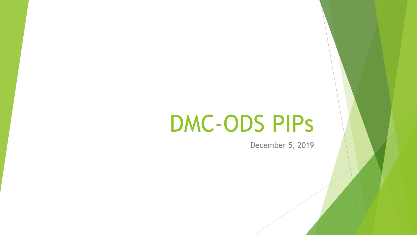# DMC-ODS PIPs

December 5, 2019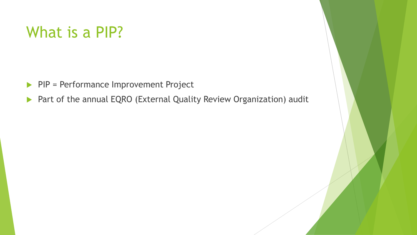# What is a PIP?

- PIP = Performance Improvement Project
- ▶ Part of the annual EQRO (External Quality Review Organization) audit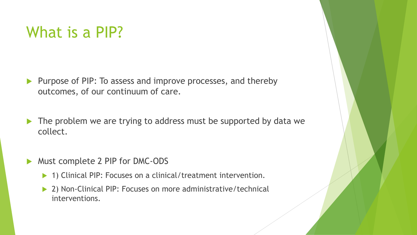# What is a PIP?

- **Purpose of PIP: To assess and improve processes, and thereby** outcomes, of our continuum of care.
- The problem we are trying to address must be supported by data we collect.
- Must complete 2 PIP for DMC-ODS
	- ▶ 1) Clinical PIP: Focuses on a clinical/treatment intervention.
	- ▶ 2) Non-Clinical PIP: Focuses on more administrative/technical interventions.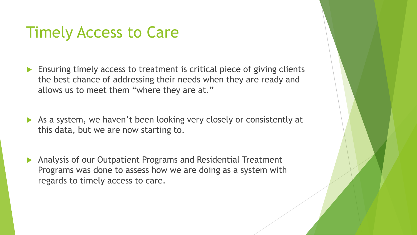# Timely Access to Care

- Ensuring timely access to treatment is critical piece of giving clients the best chance of addressing their needs when they are ready and allows us to meet them "where they are at."
- As a system, we haven't been looking very closely or consistently at this data, but we are now starting to.
- Analysis of our Outpatient Programs and Residential Treatment Programs was done to assess how we are doing as a system with regards to timely access to care.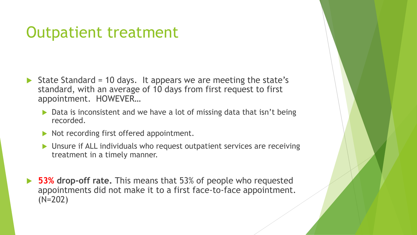# Outpatient treatment

- State Standard = 10 days. It appears we are meeting the state's standard, with an average of 10 days from first request to first appointment. HOWEVER…
	- ▶ Data is inconsistent and we have a lot of missing data that isn't being recorded.
	- Not recording first offered appointment.
	- ▶ Unsure if ALL individuals who request outpatient services are receiving treatment in a timely manner.
- **53% drop-off rate.** This means that 53% of people who requested appointments did not make it to a first face-to-face appointment. (N=202)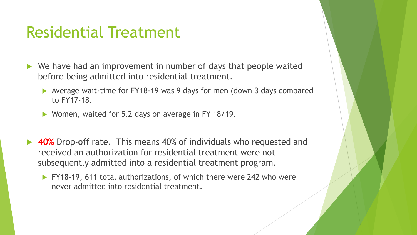# Residential Treatment

- ▶ We have had an improvement in number of days that people waited before being admitted into residential treatment.
	- Average wait-time for FY18-19 was 9 days for men (down 3 days compared to FY17-18.
	- ▶ Women, waited for 5.2 days on average in FY 18/19.
- **40%** Drop-off rate. This means 40% of individuals who requested and received an authorization for residential treatment were not subsequently admitted into a residential treatment program.
	- FY18-19, 611 total authorizations, of which there were 242 who were never admitted into residential treatment.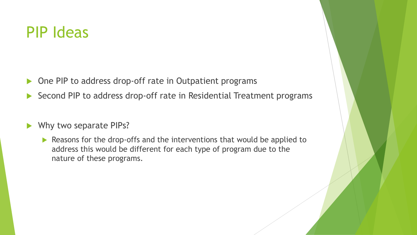### PIP Ideas

- ▶ One PIP to address drop-off rate in Outpatient programs
- ▶ Second PIP to address drop-off rate in Residential Treatment programs

#### Why two separate PIPs?

Reasons for the drop-offs and the interventions that would be applied to address this would be different for each type of program due to the nature of these programs.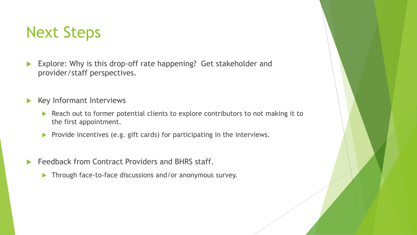# Next Steps

- Explore: Why is this drop-off rate happening? Get stakeholder and provider/staff perspectives.
- Key Informant Interviews
	- Reach out to former potential clients to explore contributors to not making it to the first appointment.
	- **Provide incentives (e.g. gift cards) for participating in the interviews.**
- Feedback from Contract Providers and BHRS staff.
	- **Through face-to-face discussions and/or anonymous survey.**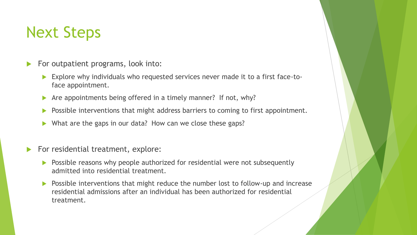# Next Steps

- $\blacktriangleright$  For outpatient programs, look into:
	- Explore why individuals who requested services never made it to a first face-toface appointment.
	- Are appointments being offered in a timely manner? If not, why?
	- Possible interventions that might address barriers to coming to first appointment.
	- What are the gaps in our data? How can we close these gaps?
- For residential treatment, explore:
	- **Possible reasons why people authorized for residential were not subsequently** admitted into residential treatment.
	- **Possible interventions that might reduce the number lost to follow-up and increase** residential admissions after an individual has been authorized for residential treatment.